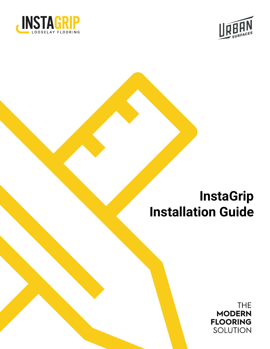



**THE MODERN FLOORING** SOLUTION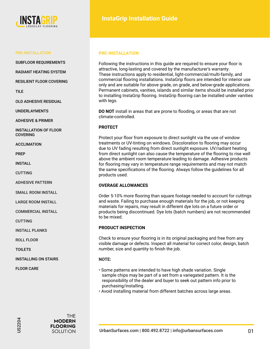

#### PRE-INSTALLATION

SUBFLOOR REQUIREMENTS

RADIANT HEATING SYSTEM

RESILIENT FLOOR COVERING

TILE

OLD ADHESIVE RESIDUAL

UNDERLAYMENTS

ADHESIVE & PRIMER

INSTALLATION OF FLOOR **COVERING** 

ACCLIMATION

PREP

INSTALL

CUTTING

ADHESIVE PATTERN

SMALL ROOM INSTALL

LARGE ROOM INSTALL

COMMERCIAL INSTALL

CUTTING

INSTALL PLANKS

ROLL FLOOR

TOILETS

INSTALLING ON STAIRS

FLOOR CARE

#### **PRE-INSTALLATION**

Following the instructions in this guide are required to ensure your floor is attractive, long-lasting and covered by the manufacturer's warranty. These instructions apply to residential, light-commercial/multi-family, and commercial flooring installations. InstaGrip floors are intended for interior use only and are suitable for above grade, on grade, and below-grade applications. Permanent cabinets, vanities, islands and similar items should be installed prior to installing InstaGrip flooring. InstaGrip flooring can be installed under vanities with legs.

**DO NOT** install in areas that are prone to flooding, or areas that are not climate-controlled.

# **PROTECT**

Protect your floor from exposure to direct sunlight via the use of window treatments or UV-tinting on windows. Discoloration to flooring may occur due to UV fading resulting from direct sunlight exposure. UV/radiant heating from direct sunlight can also cause the temperature of the flooring to rise well above the ambient room temperature leading to damage. Adhesive products for flooring may vary in temperature range requirements and may not match the same specifications of the flooring. Always follow the guidelines for all products used.

#### **OVERAGE ALLOWANCES**

Order 5-10% more flooring than square footage needed to account for cuttings and waste. Failing to purchase enough materials for the job, or not keeping materials for repairs, may result in different dye lots on a future order or products being discontinued. Dye lots (batch numbers) are not recommended to be mixed.

## **PRODUCT INSPECTION**

Check to ensure your flooring is in its original packaging and free from any visible damage or defects. Inspect all material for correct color, design, batch number, size and quantity to finish the job.

#### **NOTE:**

- Some patterns are intended to have high shade variation. Single sample chips may be part of a set from a variegated pattern. It is the responsibility of the dealer and buyer to seek out pattern info prior to purchasing/installing.
- Avoid installing material from different batches across large areas.

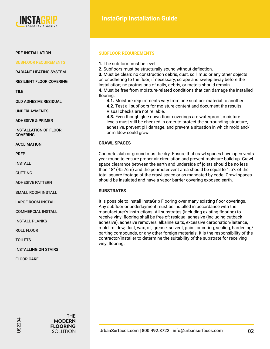

#### PRE-INSTALLATION

SUBFLOOR REQUIREMENTS

RADIANT HEATING SYSTEM

RESILIENT FLOOR COVERING

TILE

OLD ADHESIVE RESIDUAL

UNDERLAYMENTS

ADHESIVE & PRIMER

INSTALLATION OF FLOOR **COVERING** 

ACCLIMATION

PREP

INSTALL

CUTTING

ADHESIVE PATTERN

SMALL ROOM INSTALL

LARGE ROOM INSTALL

COMMERCIAL INSTALL

INSTALL PLANKS

ROLL FLOOR

**TOILETS** 

INSTALLING ON STAIRS

FLOOR CARE

# **SUBFLOOR REQUIREMENTS**

**1.** The subfloor must be level.

**2.** Subfloors must be structurally sound without deflection.

**3.** Must be clean: no construction debris, dust, soil, mud or any other objects on or adhering to the floor; if necessary, scrape and sweep away before the installation; no protrusions of nails, debris, or metals should remain. **4.** Must be free from moisture-related conditions that can damage the installed flooring.

**4.1.** Moisture requirements vary from one subfloor material to another. **4.2.** Test all subfloors for moisture content and document the results. Visual checks are not reliable.

**4.3.** Even though glue down floor coverings are waterproof, moisture levels must still be checked in order to protect the surrounding structure, adhesive, prevent pH damage, and prevent a situation in which mold and/ or mildew could grow.

# **CRAWL SPACES**

Concrete slab or ground must be dry. Ensure that crawl spaces have open vents year-round to ensure proper air circulation and prevent moisture build-up. Crawl space clearance between the earth and underside of joists should be no less than 18" (45.7cm) and the perimeter vent area should be equal to 1.5% of the total square footage of the crawl space or as mandated by code. Crawl spaces should be insulated and have a vapor barrier covering exposed earth.

#### **SUBSTRATES**

It is possible to install InstaGrip Flooring over many existing floor coverings. Any subfloor or underlayment must be installed in accordance with the manufacturer's instructions. All substrates (including existing flooring) to receive vinyl flooring shall be free of: residual adhesive (including cutback adhesive), adhesive removers, alkaline salts, excessive carbonation/laitance, mold, mildew, dust, wax, oil, grease, solvent, paint, or curing, sealing, hardening/ parting compounds, or any other foreign materials. It is the responsibility of the contractor/installer to determine the suitability of the substrate for receiving vinyl flooring.

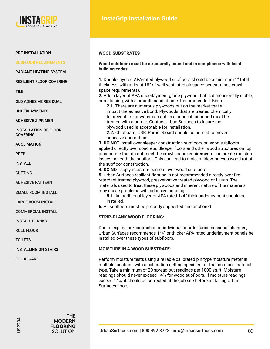

SUBFLOOR REQUIREMENTS

RADIANT HEATING SYSTEM

RESILIENT FLOOR COVERING

TILE

OLD ADHESIVE RESIDUAL

UNDERLAYMENTS

ADHESIVE & PRIMER

INSTALLATION OF FLOOR **COVERING** 

ACCLIMATION

PREP

INSTALL

CUTTING

ADHESIVE PATTERN

SMALL ROOM INSTALL

LARGE ROOM INSTALL

COMMERCIAL INSTALL

INSTALL PLANKS

ROLL FLOOR

**TOILETS** 

INSTALLING ON STAIRS

FLOOR CARE

## **WOOD SUBSTRATES**

**Wood subfloors must be structurally sound and in compliance with local building codes.**

**1.** Double-layered APA-rated plywood subfloors should be a minimum 1" total thickness, with at least 18" of well-ventilated air space beneath (see crawl space requirements).

**2.** Add a layer of APA underlayment grade plywood that is dimensionally stable, non-staining, with a smooth sanded face. Recommended: Birch

**2.1.** There are numerous plywoods out on the market that will impact the adhesive bond. Plywoods that are treated chemically to prevent fire or water can act as a bond inhibitor and must be treated with a primer. Contact Urban Surfaces to insure the plywood used is acceptable for installation.

**2.2.** Chipboard, OSB, Particleboard should be primed to prevent adhesive absorption.

**3. DO NOT** install over sleeper construction subfloors or wood subfloors applied directly over concrete. Sleeper floors and other wood structures on top of concrete that do not meet the crawl space requirements can create moisture issues beneath the subfloor. This can lead to mold, mildew, or even wood rot of the subfloor construction.

**4. DO NOT** apply moisture barriers over wood subfloors.

**5.** Urban Surfaces resilient flooring is not recommended directly over fireretardant treated plywood, presvervative treated plywood or Lauan. The materials used to treat these plywoods and inherent nature of the materials may cause problems with adhesive bonding.

**5.1.** An additional layer of APA rated 1⁄4" thick underlayment should be installed.

**6.** All subfloors must be properly supported and anchored.

#### **STRIP-PLANK WOOD FLOORING:**

Due to expansion/contraction of individual boards during seasonal changes, Urban Surfaces recommends 1⁄4" or thicker APA-rated underlayment panels be installed over these types of subfloors.

#### **MOISTURE IN A WOOD SUBSTRATE:**

Perform moisture tests using a reliable calibrated pin type moisture meter in multiple locations with a calibration setting specified for that subfloor material type. Take a minimum of 20 spread out readings per 1000 sq.ft. Moisture readings should never exceed 14% for wood subfloors. If moisture readings exceed 14%, it should be corrected at the job site before installing Urban Surfaces floors.

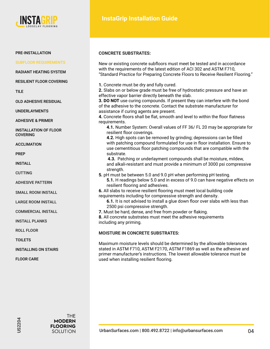

#### PRE-INSTALLATION

SUBFLOOR REQUIREMENTS

RADIANT HEATING SYSTEM

RESILIENT FLOOR COVERING

TILE

OLD ADHESIVE RESIDUAL

UNDERLAYMENTS

ADHESIVE & PRIMER

INSTALLATION OF FLOOR **COVERING** 

ACCLIMATION

PREP

INSTALL

CUTTING

ADHESIVE PATTERN

SMALL ROOM INSTALL

LARGE ROOM INSTALL

COMMERCIAL INSTALL

INSTALL PLANKS

ROLL FLOOR

**TOILETS** 

INSTALLING ON STAIRS

FLOOR CARE

## **CONCRETE SUBSTRATES:**

New or existing concrete subfloors must meet be tested and in accordance with the requirements of the latest edition of ACI 302 and ASTM F710, "Standard Practice for Preparing Concrete Floors to Receive Resilient Flooring."

**1.** Concrete must be dry and fully cured.

**2.** Slabs on or below grade must be free of hydrostatic pressure and have an effective vapor barrier directly beneath the slab.

**3. DO NOT** use curing compounds. If present they can interfere with the bond of the adhesive to the concrete. Contact the substrate manufacturer for assistance if curing agents are present.

**4.** Concrete floors shall be flat, smooth and level to within the floor flatness requirements.

**4.1.** Number System: Overall values of FF 36/ FL 20 may be appropriate for resilient floor coverings.

**4.2.** High spots can be removed by grinding; depressions can be filled with patching compound formulated for use in floor installation. Ensure to use cementitious floor patching compounds that are compatible with the substrate.

**4.3.** Patching or underlayment compounds shall be moisture, mildew, and alkali-resistant and must provide a minimum of 3000 psi compressive strength.

**5.** pH must be between 5.0 and 9.0 pH when performing pH testing. **5.1.** H readings below 5.0 and in excess of 9.0 can have negative effects on resilient flooring and adhesives.

**6.** All slabs to receive resilient flooring must meet local building code requirements including for compressive strength and density.

**6.1.** It is not advised to install a glue down floor over slabs with less than 2500 psi compressive strength.

**7.** Must be hard, dense, and free from powder or flaking.

**8.** All concrete substrates must meet the adhesive requirements including any priming.

#### **MOISTURE IN CONCRETE SUBSTRATES:**

Maximum moisture levels should be determined by the allowable tolerances stated in ASTM F710, ASTM F2170, ASTM F1869 as well as the adhesive and primer manufacturer's instructions. The lowest allowable tolerance must be used when installing resilient flooring.

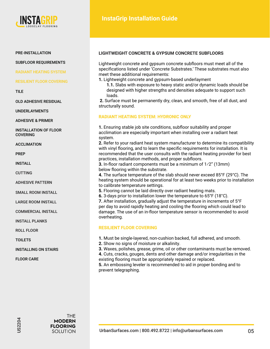

SUBFLOOR REQUIREMENTS

RADIANT HEATING SYSTEM

RESILIENT FLOOR COVERING

TILE

OLD ADHESIVE RESIDUAL

UNDERLAYMENTS

ADHESIVE & PRIMER

INSTALLATION OF FLOOR **COVERING** 

ACCLIMATION

PREP

INSTALL

CUTTING

ADHESIVE PATTERN

SMALL ROOM INSTALL

LARGE ROOM INSTALL

COMMERCIAL INSTALL

INSTALL PLANKS

ROLL FLOOR

**TOILETS** 

INSTALLING ON STAIRS

FLOOR CARE

# **LIGHTWEIGHT CONCRETE & GYPSUM CONCRETE SUBFLOORS**

Lightweight concrete and gypsum concrete subfloors must meet all of the specifications listed under 'Concrete Substrates.' These substrates must also meet these additional requirements:

**1.** Lightweight concrete and gypsum-based underlayment

**1.1.** Slabs with exposure to heavy static and/or dynamic loads should be designed with higher strengths and densities adequate to support such loads.

 **2.** Surface must be permanently dry, clean, and smooth, free of all dust, and structurally sound.

## **RADIANT HEATING SYSTEM: HYDRONIC ONLY**

**1.** Ensuring stable job site conditions, subfloor suitability and proper acclimation are especially important when installing over a radiant heat system.

**2.** Refer to your radiant heat system manufacturer to determine its compatibility with vinyl flooring, and to learn the specific requirements for installation. It is recommended that the user consults with the radiant heating provider for best practices, installation methods, and proper subfloors.

**3.** In-floor radiant components must be a minimum of 1⁄2" (13mm) below flooring within the substrate.

**4.** The surface temperature of the slab should never exceed 85°F (29°C). The heating system should be operational for at least two weeks prior to installation to calibrate temperature settings.

**5.** Flooring cannot be laid directly over radiant heating mats.

**6.** 3-days prior to installation lower the temperature to 65°F (18°C).

**7.** After installation, gradually adjust the temperature in increments of 5°F per day to avoid rapidly heating and cooling the flooring which could lead to damage. The use of an in-floor temperature sensor is recommended to avoid overheating.

## **RESILIENT FLOOR COVERING**

**1.** Must be single-layered, non-cushion backed, full adhered, and smooth.

**2.** Show no signs of moisture or alkalinity.

**3.** Waxes, polishes, grease, grime, oil or other contaminants must be removed. **4.** Cuts, cracks, gouges, dents and other damage and/or irregularities in the

existing flooring must be appropriately repaired or replaced.

**5.** An embossing leveler is recommended to aid in proper bonding and to prevent telegraphing.

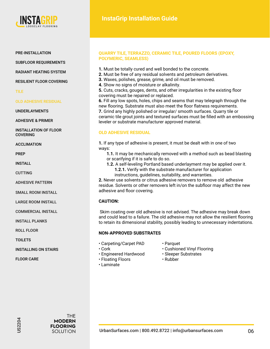

SUBFLOOR REQUIREMENTS

RADIANT HEATING SYSTEM

RESILIENT FLOOR COVERING

#### TILE

OLD ADHESIVE RESIDUAL

UNDERLAYMENTS

ADHESIVE & PRIMER

INSTALLATION OF FLOOR **COVERING** 

ACCLIMATION

PREP

INSTALL

CUTTING

ADHESIVE PATTERN

SMALL ROOM INSTALL

LARGE ROOM INSTALL

COMMERCIAL INSTALL

INSTALL PLANKS

ROLL FLOOR

**TOILETS** 

INSTALLING ON STAIRS

FLOOR CARE

# **QUARRY TILE, TERRAZZO, CERAMIC TILE, POURED FLOORS (EPOXY, POLYMERIC, SEAMLESS)**

- **1.** Must be totally cured and well bonded to the concrete.
- **2.** Must be free of any residual solvents and petroleum derivatives.
- **3.** Waxes, polishes, grease, grime, and oil must be removed.
- **4.** Show no signs of moisture or alkalinity.

**5.** Cuts, cracks, gouges, dents, and other irregularities in the existing floor covering must be repaired or replaced.

**6.** Fill any low spots, holes, chips and seams that may telegraph through the new flooring. Substrate must also meet the floor flatness requirements.

**7.** Grind any highly polished or irregular/ smooth surfaces. Quarry tile or ceramic tile grout joints and textured surfaces must be filled with an embossing leveler or substrate manufacturer approved material.

# **OLD ADHESIVE RESIDUAL**

**1.** If any type of adhesive is present, it must be dealt with in one of two ways:

**1.1.** It may be mechanically removed with a method such as bead blasting or scarifying if it is safe to do so.

- **1.2.** A self-leveling Portland based underlayment may be applied over it.
	- **1.2.1.** Verify with the substrate manufacturer for application instructions, guidelines, suitability, and warranties.

**2.** Never use solvents or citrus adhesive removers to remove old adhesive residue. Solvents or other removers left in/on the subfloor may affect the new adhesive and floor covering.

# **CAUTION:**

 Skim coating over old adhesive is not advised. The adhesive may break down and could lead to a failure. The old adhesive may not allow the resilient flooring to retain its dimensional stability, possibly leading to unnecessary indentations.

# **NON-APPROVED SUBSTRATES**

- Carpeting/Carpet PAD Parquet
- Cork Cushioned Vinyl Flooring
- Engineered Hardwood Sleeper Substrates
- 
- Floating Floors Rubber
- Laminate

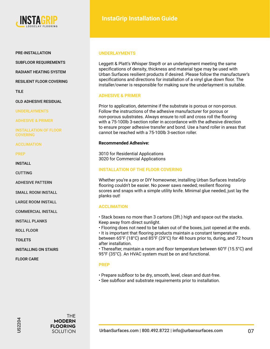

#### PRE-INSTALLATION

SUBFLOOR REQUIREMENTS

RADIANT HEATING SYSTEM

RESILIENT FLOOR COVERING

TILE

OLD ADHESIVE RESIDUAL

UNDERLAYMENTS

ADHESIVE & PRIMER

INSTALLATION OF FLOOR **COVERING** 

**ACCLIMATION** 

PREP

INSTALL

CUTTING

ADHESIVE PATTERN

SMALL ROOM INSTALL

LARGE ROOM INSTALL

COMMERCIAL INSTALL

INSTALL PLANKS

ROLL FLOOR

**TOILETS** 

INSTALLING ON STAIRS

FLOOR CARE

#### **UNDERLAYMENTS**

Leggett & Platt's Whisper Step® or an underlayment meeting the same specifications of density, thickness and material type may be used with Urban Surfaces resilient products if desired. Please follow the manufacturer's specifications and directions for installation of a vinyl glue down floor. The installer/owner is responsible for making sure the underlayment is suitable.

#### **ADHESIVE & PRIMER**

Prior to application, determine if the substrate is porous or non-porous. Follow the instructions of the adhesive manufacturer for porous or non-porous substrates. Always ensure to roll and cross roll the flooring with a 75-100lb 3-section roller in accordance with the adhesive direction to ensure proper adhesive transfer and bond. Use a hand roller in areas that cannot be reached with a 75-100lb 3-section roller.

#### **Recommended Adhesive:**

3010 for Residential Applications 3020 for Commercial Applications

# **INSTALLATION OF THE FLOOR COVERING**

Whether you're a pro or DIY homeowner, installing Urban Surfaces InstaGrip flooring couldn't be easier. No power saws needed; resilient flooring scores and snaps with a simple utility knife. Minimal glue needed, just lay the planks out!

#### **ACCLIMATION**

• Stack boxes no more than 3 cartons (3ft.) high and space out the stacks. Keep away from direct sunlight.

• Flooring does not need to be taken out of the boxes, just opened at the ends. • It is important that flooring products maintain a constant temperature

between 65°F (18°C) and 85°F (29°C) for 48 hours prior to, during, and 72 hours after installation.

• Thereafter, maintain a room and floor temperature between 60°F (15.5°C) and 95°F (35°C). An HVAC system must be on and functional.

#### **PREP**

- Prepare subfloor to be dry, smooth, level, clean and dust-free.
- See subfloor and substrate requirements prior to installation.

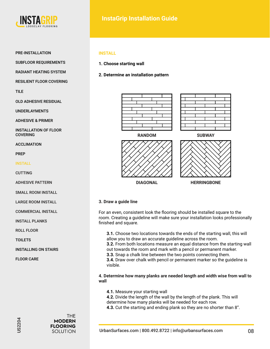

#### PRE-INSTALLATION

SUBFLOOR REQUIREMENTS

RADIANT HEATING SYSTEM

RESILIENT FLOOR COVERING

TILE

OLD ADHESIVE RESIDUAL

UNDERLAYMENTS

ADHESIVE & PRIMER

INSTALLATION OF FLOOR COVERING

ACCLIMATION

PREP

#### INSTALL

**CUTTING** 

ADHESIVE PATTERN

SMALL ROOM INSTALL

LARGE ROOM INSTALL

COMMERCIAL INSTALL

INSTALL PLANKS

ROLL FLOOR

**TOILETS** 

US2204

INSTALLING ON STAIRS

FLOOR CARE

#### **INSTALL**

- **1. Choose starting wall**
- **2. Determine an installation pattern**





**RANDOM**





**HERRINGBONE**

#### **3. Draw a guide line**

For an even, consistent look the flooring should be installed square to the room. Creating a guideline will make sure your installation looks professionally finished and square.

**3.1.** Choose two locations towards the ends of the starting wall, this will allow you to draw an accurate guideline across the room.

**3.2.** From both locations measure an equal distance from the starting wall out towards the room and mark with a pencil or permanent marker.

**3.3.** Snap a chalk line between the two points connecting them.

**3.4.** Draw over chalk with pencil or permanent marker so the guideline is visible.

#### **4. Determine how many planks are needed length and width wise from wall to wall**

**4.1.** Measure your starting wall

**4.2.** Divide the length of the wall by the length of the plank. This will determine how many planks will be needed for each row.

**4.3.** Cut the starting and ending plank so they are no shorter than 8".

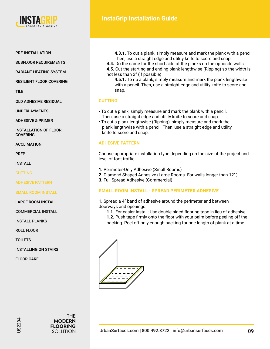

#### PRE-INSTALLATION

SUBFLOOR REQUIREMENTS

RADIANT HEATING SYSTEM

RESILIENT FLOOR COVERING

TILE

OLD ADHESIVE RESIDUAL

UNDERLAYMENTS

ADHESIVE & PRIMER

INSTALLATION OF FLOOR COVERING

ACCLIMATION

PREP

INSTALL

CUTTING

ADHESIVE PATTERN

SMALL ROOM INSTALL

LARGE ROOM INSTALL

COMMERCIAL INSTALL

INSTALL PLANKS

ROLL FLOOR

**TOILETS** 

INSTALLING ON STAIRS

FLOOR CARE

- **4.3.1.** To cut a plank, simply measure and mark the plank with a pencil. Then, use a straight edge and utility knife to score and snap.
- **4.4.** Do the same for the short side of the planks on the opposite walls
- **4.5.** Cut the starting and ending plank lengthwise (Ripping) so the width is not less than 3" (if possible)

**4.5.1.** To rip a plank, simply measure and mark the plank lengthwise with a pencil. Then, use a straight edge and utility knife to score and snap.

# **CUTTING**

- To cut a plank, simply measure and mark the plank with a pencil. Then, use a straight edge and utility knife to score and snap.
- To cut a plank lengthwise (Ripping), simply measure and mark the plank lengthwise with a pencil. Then, use a straight edge and utility knife to score and snap.

## **ADHESIVE PATTERN**

Choose appropriate installation type depending on the size of the project and level of foot traffic.

- **1.** Perimeter-Only Adhesive (Small Rooms)
- **2.** Diamond Shaped Adhesive (Large Rooms -For walls longer than 12'-)
- **3.** Full Spread Adhesive (Commercial)

# **SMALL ROOM INSTALL - SPREAD PERIMETER ADHESIVE**

- **1.** Spread a 4" band of adhesive around the perimeter and between doorways and openings.
	- **1.1.** For easier install: Use double sided flooring tape in lieu of adhesive. **1.2.** Push tape firmly onto the floor with your palm before peeling off the backing. Peel off only enough backing for one length of plank at a time.



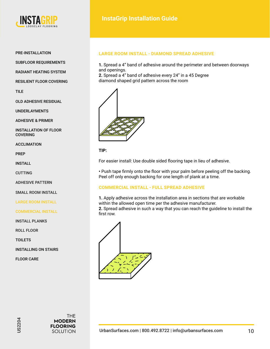

SUBFLOOR REQUIREMENTS

RADIANT HEATING SYSTEM

RESILIENT FLOOR COVERING

TILE

OLD ADHESIVE RESIDUAL

UNDERLAYMENTS

ADHESIVE & PRIMER

INSTALLATION OF FLOOR COVERING

ACCLIMATION

PREP

INSTALL

CUTTING

ADHESIVE PATTERN

SMALL ROOM INSTALL

LARGE ROOM INSTALL

COMMERCIAL INSTALL

INSTALL PLANKS

ROLL FLOOR

**TOILETS** 

INSTALLING ON STAIRS

FLOOR CARE

#### **LARGE ROOM INSTALL - DIAMOND SPREAD ADHESIVE**

**1.** Spread a 4" band of adhesive around the perimeter and between doorways and openings.

**2.** Spread a 4" band of adhesive every 24" in a 45 Degree diamond shaped grid pattern across the room



#### **TIP:**

For easier install: Use double sided flooring tape in lieu of adhesive.

**•** Push tape firmly onto the floor with your palm before peeling off the backing. Peel off only enough backing for one length of plank at a time.

# **COMMERCIAL INSTALL - FULL SPREAD ADHESIVE**

**1.** Apply adhesive across the installation area in sections that are workable within the allowed open time per the adhesive manufacturer. **2.** Spread adhesive in such a way that you can reach the guideline to install the first row.



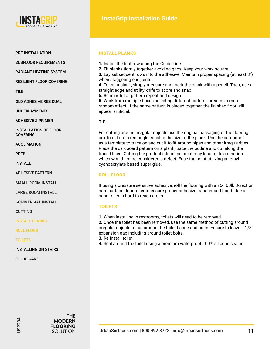

#### PRE-INSTALLATION

SUBFLOOR REQUIREMENTS

RADIANT HEATING SYSTEM

RESILIENT FLOOR COVERING

TILE

OLD ADHESIVE RESIDUAL

UNDERLAYMENTS

ADHESIVE & PRIMER

INSTALLATION OF FLOOR **COVERING** 

ACCLIMATION

PREP

INSTALL

ADHESIVE PATTERN

SMALL ROOM INSTALL

LARGE ROOM INSTALL

COMMERCIAL INSTALL

CUTTING

INSTALL PLANKS

ROLL FLOOR

TOILETS

INSTALLING ON STAIRS

FLOOR CARE

#### **INSTALL PLANKS**

**1.** Install the first row along the Guide Line. **2.** Fit planks tightly together avoiding gaps. Keep your work square. **3.** Lay subsequent rows into the adhesive. Maintain proper spacing (at least 8") when staggering end joints.

**4.** To cut a plank, simply measure and mark the plank with a pencil. Then, use a straight edge and utility knife to score and snap.

**5.** Be mindful of pattern repeat and design.

**6**. Work from multiple boxes selecting different patterns creating a more random effect. If the same pattern is placed together, the finished floor will appear artificial.

#### **TIP:**

For cutting around irregular objects use the original packaging of the flooring box to cut out a rectangle equal to the size of the plank. Use the cardboard as a template to trace on and cut it to fit around pipes and other irregularities. Place the cardboard pattern on a plank, trace the outline and cut along the traced lines. Cutting the product into a fine point may lead to delamination which would not be considered a defect. Fuse the point utilizing an ethyl cyanoacrylate-based super glue.

#### **ROLL FLOOR**

If using a pressure sensitive adhesive, roll the flooring with a 75-100lb 3-section hard surface floor roller to ensure proper adhesive transfer and bond. Use a hand roller in hard to reach areas.

#### **TOILETS**

**1.** When installing in restrooms, toilets will need to be removed.

**2.** Once the toilet has been removed, use the same method of cutting around irregular objects to cut around the toilet flange and bolts. Ensure to leave a 1/8" expansion gap including around toilet bolts.

**3.** Re-install toilet.

**4.** Seal around the toilet using a premium waterproof 100% silicone sealant.